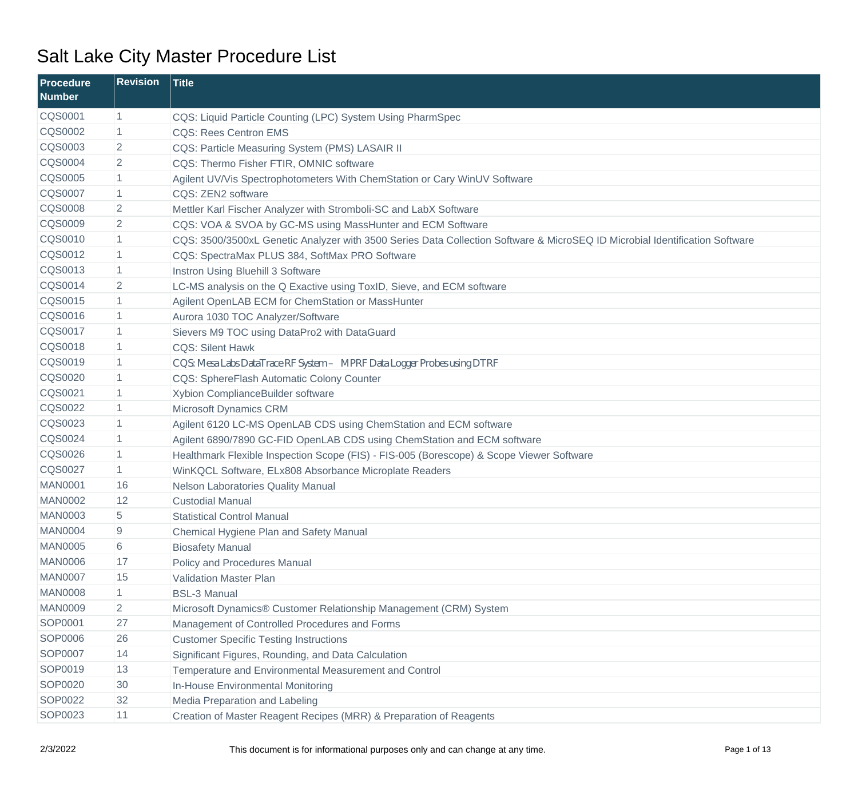| <b>Procedure</b><br><b>Number</b> | <b>Revision</b> | <b>Title</b>                                                                                                                |
|-----------------------------------|-----------------|-----------------------------------------------------------------------------------------------------------------------------|
| <b>CQS0001</b>                    | $\mathbf{1}$    | CQS: Liquid Particle Counting (LPC) System Using PharmSpec                                                                  |
| <b>CQS0002</b>                    | 1               | <b>CQS: Rees Centron EMS</b>                                                                                                |
| <b>CQS0003</b>                    | $\overline{2}$  | CQS: Particle Measuring System (PMS) LASAIR II                                                                              |
| <b>CQS0004</b>                    | $\overline{2}$  | CQS: Thermo Fisher FTIR, OMNIC software                                                                                     |
| <b>CQS0005</b>                    | $\mathbf{1}$    | Agilent UV/Vis Spectrophotometers With ChemStation or Cary WinUV Software                                                   |
| <b>CQS0007</b>                    | $\mathbf{1}$    | CQS: ZEN2 software                                                                                                          |
| <b>CQS0008</b>                    | $\overline{2}$  | Mettler Karl Fischer Analyzer with Stromboli-SC and LabX Software                                                           |
| <b>CQS0009</b>                    | $\overline{2}$  | CQS: VOA & SVOA by GC-MS using MassHunter and ECM Software                                                                  |
| <b>CQS0010</b>                    | $\mathbf{1}$    | CQS: 3500/3500xL Genetic Analyzer with 3500 Series Data Collection Software & MicroSEQ ID Microbial Identification Software |
| CQS0012                           | $\mathbf{1}$    | CQS: SpectraMax PLUS 384, SoftMax PRO Software                                                                              |
| CQS0013                           | $\mathbf{1}$    | Instron Using Bluehill 3 Software                                                                                           |
| <b>CQS0014</b>                    | $\overline{2}$  | LC-MS analysis on the Q Exactive using ToxID, Sieve, and ECM software                                                       |
| <b>CQS0015</b>                    | $\mathbf{1}$    | Agilent OpenLAB ECM for ChemStation or MassHunter                                                                           |
| <b>CQS0016</b>                    | $\mathbf{1}$    | Aurora 1030 TOC Analyzer/Software                                                                                           |
| <b>CQS0017</b>                    | $\mathbf{1}$    | Sievers M9 TOC using DataPro2 with DataGuard                                                                                |
| <b>CQS0018</b>                    | $\mathbf{1}$    | <b>CQS: Silent Hawk</b>                                                                                                     |
| CQS0019                           | $\mathbf{1}$    | CQS: MesaLabsDataTrace RF System- MPRF DataLogger Probes using DTRF                                                         |
| <b>CQS0020</b>                    | 1               | CQS: SphereFlash Automatic Colony Counter                                                                                   |
| CQS0021                           | $\mathbf{1}$    | Xybion ComplianceBuilder software                                                                                           |
| <b>CQS0022</b>                    | $\mathbf{1}$    | Microsoft Dynamics CRM                                                                                                      |
| CQS0023                           | $\mathbf{1}$    | Agilent 6120 LC-MS OpenLAB CDS using ChemStation and ECM software                                                           |
| <b>CQS0024</b>                    | $\mathbf{1}$    | Agilent 6890/7890 GC-FID OpenLAB CDS using ChemStation and ECM software                                                     |
| <b>CQS0026</b>                    | $\mathbf{1}$    | Healthmark Flexible Inspection Scope (FIS) - FIS-005 (Borescope) & Scope Viewer Software                                    |
| <b>CQS0027</b>                    | $\mathbf{1}$    | WinKQCL Software, ELx808 Absorbance Microplate Readers                                                                      |
| <b>MAN0001</b>                    | 16              | Nelson Laboratories Quality Manual                                                                                          |
| <b>MAN0002</b>                    | 12              | <b>Custodial Manual</b>                                                                                                     |
| <b>MAN0003</b>                    | 5               | <b>Statistical Control Manual</b>                                                                                           |
| <b>MAN0004</b>                    | 9               | Chemical Hygiene Plan and Safety Manual                                                                                     |
| <b>MAN0005</b>                    | 6               | <b>Biosafety Manual</b>                                                                                                     |
| <b>MAN0006</b>                    | 17              | Policy and Procedures Manual                                                                                                |
| <b>MAN0007</b>                    | 15              | <b>Validation Master Plan</b>                                                                                               |
| <b>MAN0008</b>                    | $\mathbf{1}$    | <b>BSL-3 Manual</b>                                                                                                         |
| <b>MAN0009</b>                    | $\overline{2}$  | Microsoft Dynamics® Customer Relationship Management (CRM) System                                                           |
| SOP0001                           | 27              | Management of Controlled Procedures and Forms                                                                               |
| SOP0006                           | 26              | <b>Customer Specific Testing Instructions</b>                                                                               |
| <b>SOP0007</b>                    | 14              | Significant Figures, Rounding, and Data Calculation                                                                         |
| SOP0019                           | 13              | Temperature and Environmental Measurement and Control                                                                       |
| SOP0020                           | 30              | In-House Environmental Monitoring                                                                                           |
| SOP0022                           | 32              | Media Preparation and Labeling                                                                                              |
| SOP0023                           | 11              | Creation of Master Reagent Recipes (MRR) & Preparation of Reagents                                                          |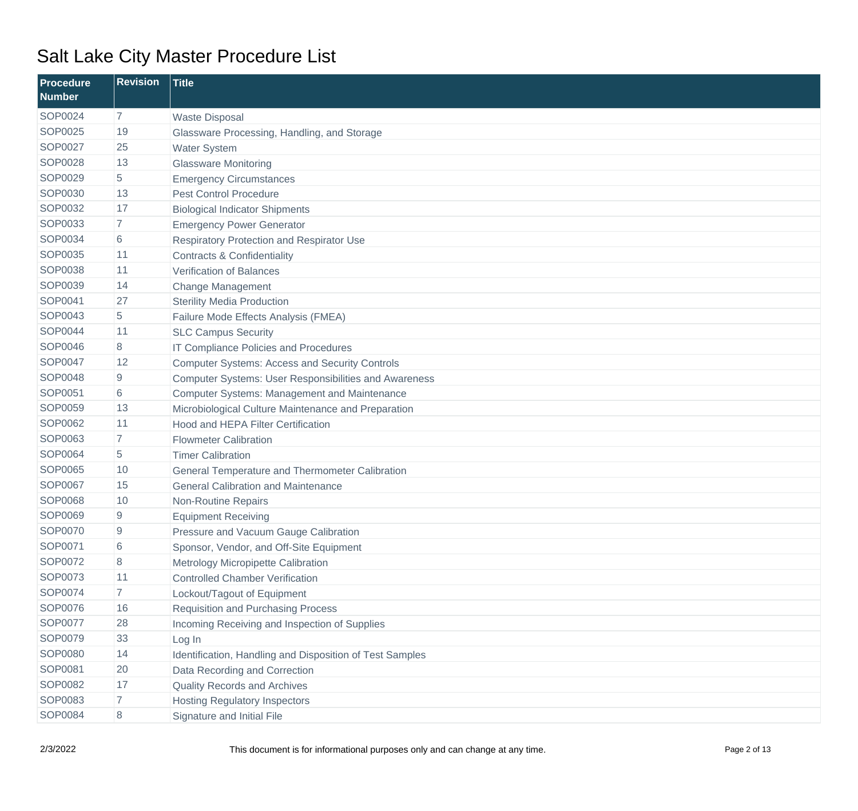| Procedure<br><b>Number</b> | <b>Revision</b> | <b>Title</b>                                                 |
|----------------------------|-----------------|--------------------------------------------------------------|
| SOP0024                    | $\overline{7}$  | <b>Waste Disposal</b>                                        |
| SOP0025                    | 19              | Glassware Processing, Handling, and Storage                  |
| <b>SOP0027</b>             | 25              | <b>Water System</b>                                          |
| SOP0028                    | 13              | <b>Glassware Monitoring</b>                                  |
| SOP0029                    | 5               | <b>Emergency Circumstances</b>                               |
| SOP0030                    | 13              | <b>Pest Control Procedure</b>                                |
| SOP0032                    | 17              | <b>Biological Indicator Shipments</b>                        |
| SOP0033                    | $\overline{7}$  | <b>Emergency Power Generator</b>                             |
| SOP0034                    | 6               | Respiratory Protection and Respirator Use                    |
| <b>SOP0035</b>             | 11              | <b>Contracts &amp; Confidentiality</b>                       |
| <b>SOP0038</b>             | 11              | <b>Verification of Balances</b>                              |
| SOP0039                    | 14              | <b>Change Management</b>                                     |
| SOP0041                    | 27              | <b>Sterility Media Production</b>                            |
| SOP0043                    | 5               | Failure Mode Effects Analysis (FMEA)                         |
| <b>SOP0044</b>             | 11              | <b>SLC Campus Security</b>                                   |
| SOP0046                    | 8               | IT Compliance Policies and Procedures                        |
| <b>SOP0047</b>             | 12              | <b>Computer Systems: Access and Security Controls</b>        |
| <b>SOP0048</b>             | 9               | <b>Computer Systems: User Responsibilities and Awareness</b> |
| SOP0051                    | 6               | <b>Computer Systems: Management and Maintenance</b>          |
| <b>SOP0059</b>             | 13              | Microbiological Culture Maintenance and Preparation          |
| SOP0062                    | 11              | <b>Hood and HEPA Filter Certification</b>                    |
| SOP0063                    | $\overline{7}$  | <b>Flowmeter Calibration</b>                                 |
| <b>SOP0064</b>             | 5               | <b>Timer Calibration</b>                                     |
| <b>SOP0065</b>             | 10              | General Temperature and Thermometer Calibration              |
| <b>SOP0067</b>             | 15              | <b>General Calibration and Maintenance</b>                   |
| <b>SOP0068</b>             | 10              | Non-Routine Repairs                                          |
| <b>SOP0069</b>             | 9               | <b>Equipment Receiving</b>                                   |
| SOP0070                    | 9               | Pressure and Vacuum Gauge Calibration                        |
| SOP0071                    | 6               | Sponsor, Vendor, and Off-Site Equipment                      |
| SOP0072                    | 8               | Metrology Micropipette Calibration                           |
| SOP0073                    | 11              | <b>Controlled Chamber Verification</b>                       |
| SOP0074                    | $\overline{7}$  | Lockout/Tagout of Equipment                                  |
| SOP0076                    | 16              | <b>Requisition and Purchasing Process</b>                    |
| SOP0077                    | 28              | Incoming Receiving and Inspection of Supplies                |
| SOP0079                    | 33              | Log In                                                       |
| SOP0080                    | 14              | Identification, Handling and Disposition of Test Samples     |
| SOP0081                    | 20              | Data Recording and Correction                                |
| SOP0082                    | 17              | <b>Quality Records and Archives</b>                          |
| SOP0083                    | $\overline{7}$  | <b>Hosting Regulatory Inspectors</b>                         |
| SOP0084                    | 8               | Signature and Initial File                                   |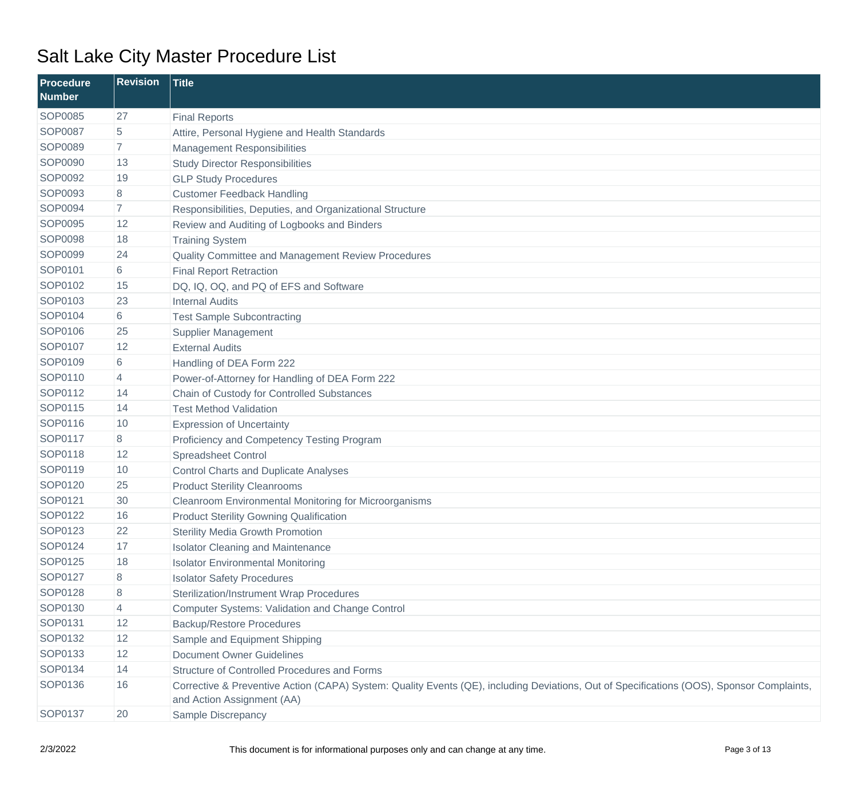| <b>Procedure</b><br><b>Number</b> | <b>Revision</b> | <b>Title</b>                                                                                                                                                            |
|-----------------------------------|-----------------|-------------------------------------------------------------------------------------------------------------------------------------------------------------------------|
| <b>SOP0085</b>                    | 27              | <b>Final Reports</b>                                                                                                                                                    |
| <b>SOP0087</b>                    | 5               | Attire, Personal Hygiene and Health Standards                                                                                                                           |
| SOP0089                           | 7               | <b>Management Responsibilities</b>                                                                                                                                      |
| SOP0090                           | 13              | <b>Study Director Responsibilities</b>                                                                                                                                  |
| SOP0092                           | 19              | <b>GLP Study Procedures</b>                                                                                                                                             |
| SOP0093                           | 8               | <b>Customer Feedback Handling</b>                                                                                                                                       |
| SOP0094                           | 7               | Responsibilities, Deputies, and Organizational Structure                                                                                                                |
| SOP0095                           | 12              | Review and Auditing of Logbooks and Binders                                                                                                                             |
| <b>SOP0098</b>                    | 18              | <b>Training System</b>                                                                                                                                                  |
| SOP0099                           | 24              | Quality Committee and Management Review Procedures                                                                                                                      |
| SOP0101                           | 6               | <b>Final Report Retraction</b>                                                                                                                                          |
| SOP0102                           | 15              | DQ, IQ, OQ, and PQ of EFS and Software                                                                                                                                  |
| SOP0103                           | 23              | <b>Internal Audits</b>                                                                                                                                                  |
| SOP0104                           | 6               | <b>Test Sample Subcontracting</b>                                                                                                                                       |
| SOP0106                           | 25              | <b>Supplier Management</b>                                                                                                                                              |
| SOP0107                           | 12              | <b>External Audits</b>                                                                                                                                                  |
| SOP0109                           | 6               | Handling of DEA Form 222                                                                                                                                                |
| SOP0110                           | 4               | Power-of-Attorney for Handling of DEA Form 222                                                                                                                          |
| SOP0112                           | 14              | Chain of Custody for Controlled Substances                                                                                                                              |
| SOP0115                           | 14              | <b>Test Method Validation</b>                                                                                                                                           |
| SOP0116                           | 10              | <b>Expression of Uncertainty</b>                                                                                                                                        |
| SOP0117                           | 8               | Proficiency and Competency Testing Program                                                                                                                              |
| SOP0118                           | 12              | <b>Spreadsheet Control</b>                                                                                                                                              |
| SOP0119                           | 10              | <b>Control Charts and Duplicate Analyses</b>                                                                                                                            |
| SOP0120                           | 25              | <b>Product Sterility Cleanrooms</b>                                                                                                                                     |
| SOP0121                           | 30              | Cleanroom Environmental Monitoring for Microorganisms                                                                                                                   |
| SOP0122                           | 16              | <b>Product Sterility Gowning Qualification</b>                                                                                                                          |
| SOP0123                           | 22              | <b>Sterility Media Growth Promotion</b>                                                                                                                                 |
| SOP0124                           | 17              | <b>Isolator Cleaning and Maintenance</b>                                                                                                                                |
| SOP0125                           | 18              | <b>Isolator Environmental Monitoring</b>                                                                                                                                |
| SOP0127                           | 8               | <b>Isolator Safety Procedures</b>                                                                                                                                       |
| SOP0128                           | 8               | <b>Sterilization/Instrument Wrap Procedures</b>                                                                                                                         |
| SOP0130                           | 4               | <b>Computer Systems: Validation and Change Control</b>                                                                                                                  |
| SOP0131                           | 12              | <b>Backup/Restore Procedures</b>                                                                                                                                        |
| SOP0132                           | 12              | Sample and Equipment Shipping                                                                                                                                           |
| SOP0133                           | 12              | <b>Document Owner Guidelines</b>                                                                                                                                        |
| SOP0134                           | 14              | Structure of Controlled Procedures and Forms                                                                                                                            |
| SOP0136                           | 16              | Corrective & Preventive Action (CAPA) System: Quality Events (QE), including Deviations, Out of Specifications (OOS), Sponsor Complaints,<br>and Action Assignment (AA) |
| SOP0137                           | 20              | Sample Discrepancy                                                                                                                                                      |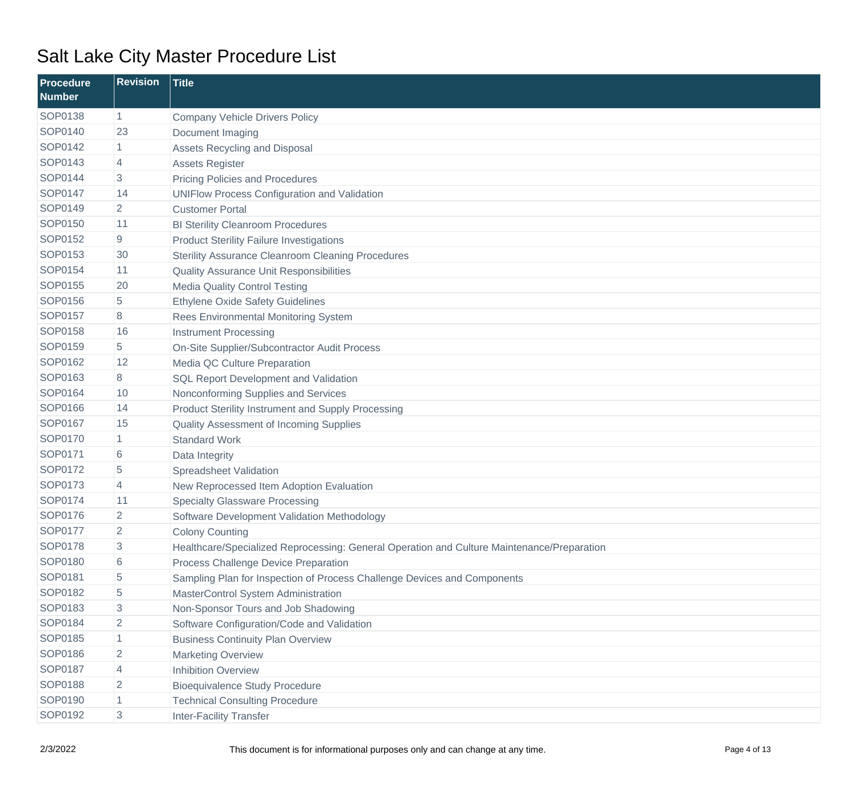| <b>Procedure</b><br><b>Number</b> | <b>Revision</b> | <b>Title</b>                                                                               |
|-----------------------------------|-----------------|--------------------------------------------------------------------------------------------|
| SOP0138                           | $\mathbf{1}$    | <b>Company Vehicle Drivers Policy</b>                                                      |
| SOP0140                           | 23              | Document Imaging                                                                           |
| SOP0142                           | $\mathbf{1}$    | Assets Recycling and Disposal                                                              |
| SOP0143                           | 4               | <b>Assets Register</b>                                                                     |
| SOP0144                           | 3               | <b>Pricing Policies and Procedures</b>                                                     |
| SOP0147                           | 14              | <b>UNIFlow Process Configuration and Validation</b>                                        |
| SOP0149                           | $\overline{2}$  | <b>Customer Portal</b>                                                                     |
| SOP0150                           | 11              | <b>BI Sterility Cleanroom Procedures</b>                                                   |
| SOP0152                           | 9               | <b>Product Sterility Failure Investigations</b>                                            |
| SOP0153                           | 30              | <b>Sterility Assurance Cleanroom Cleaning Procedures</b>                                   |
| SOP0154                           | 11              | <b>Quality Assurance Unit Responsibilities</b>                                             |
| SOP0155                           | 20              | <b>Media Quality Control Testing</b>                                                       |
| SOP0156                           | 5               | <b>Ethylene Oxide Safety Guidelines</b>                                                    |
| SOP0157                           | 8               | Rees Environmental Monitoring System                                                       |
| SOP0158                           | 16              | <b>Instrument Processing</b>                                                               |
| SOP0159                           | 5               | On-Site Supplier/Subcontractor Audit Process                                               |
| SOP0162                           | 12              | Media QC Culture Preparation                                                               |
| SOP0163                           | 8               | <b>SQL Report Development and Validation</b>                                               |
| SOP0164                           | 10              | Nonconforming Supplies and Services                                                        |
| SOP0166                           | 14              | <b>Product Sterility Instrument and Supply Processing</b>                                  |
| SOP0167                           | 15              | Quality Assessment of Incoming Supplies                                                    |
| SOP0170                           | $\mathbf{1}$    | <b>Standard Work</b>                                                                       |
| SOP0171                           | 6               | Data Integrity                                                                             |
| SOP0172                           | 5               | Spreadsheet Validation                                                                     |
| SOP0173                           | 4               | New Reprocessed Item Adoption Evaluation                                                   |
| SOP0174                           | 11              | <b>Specialty Glassware Processing</b>                                                      |
| SOP0176                           | $\overline{2}$  | Software Development Validation Methodology                                                |
| <b>SOP0177</b>                    | 2               | <b>Colony Counting</b>                                                                     |
| SOP0178                           | 3               | Healthcare/Specialized Reprocessing: General Operation and Culture Maintenance/Preparation |
| SOP0180                           | 6               | Process Challenge Device Preparation                                                       |
| SOP0181                           | 5               | Sampling Plan for Inspection of Process Challenge Devices and Components                   |
| SOP0182                           | 5               | MasterControl System Administration                                                        |
| SOP0183                           | 3               | Non-Sponsor Tours and Job Shadowing                                                        |
| SOP0184                           | $\overline{2}$  | Software Configuration/Code and Validation                                                 |
| SOP0185                           | 1               | <b>Business Continuity Plan Overview</b>                                                   |
| SOP0186                           | $\overline{2}$  | <b>Marketing Overview</b>                                                                  |
| SOP0187                           | 4               | <b>Inhibition Overview</b>                                                                 |
| SOP0188                           | $\overline{2}$  | <b>Bioequivalence Study Procedure</b>                                                      |
| SOP0190                           | $\mathbf{1}$    | <b>Technical Consulting Procedure</b>                                                      |
| SOP0192                           | 3               | <b>Inter-Facility Transfer</b>                                                             |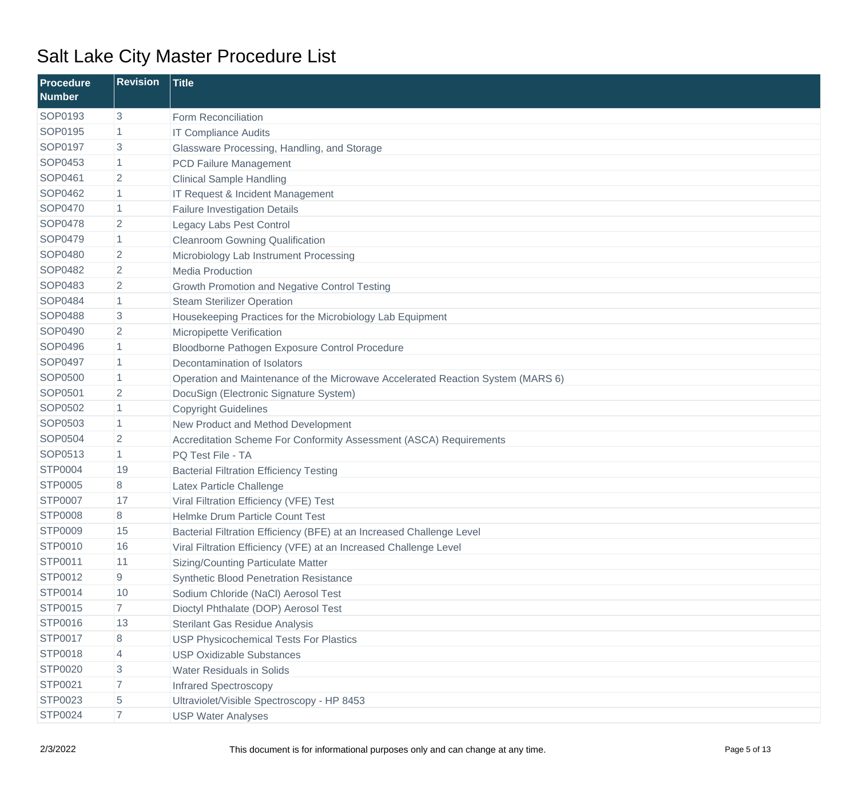| <b>Procedure</b><br><b>Number</b> | <b>Revision</b> | <b>Title</b>                                                                    |
|-----------------------------------|-----------------|---------------------------------------------------------------------------------|
| SOP0193                           | 3               | Form Reconciliation                                                             |
| SOP0195                           | 1               | <b>IT Compliance Audits</b>                                                     |
| SOP0197                           | 3               | Glassware Processing, Handling, and Storage                                     |
| SOP0453                           | 1               | <b>PCD Failure Management</b>                                                   |
| SOP0461                           | $\overline{2}$  | <b>Clinical Sample Handling</b>                                                 |
| SOP0462                           | 1               | IT Request & Incident Management                                                |
| <b>SOP0470</b>                    | 1               | <b>Failure Investigation Details</b>                                            |
| <b>SOP0478</b>                    | 2               | Legacy Labs Pest Control                                                        |
| <b>SOP0479</b>                    | $\mathbf{1}$    | <b>Cleanroom Gowning Qualification</b>                                          |
| SOP0480                           | 2               | Microbiology Lab Instrument Processing                                          |
| <b>SOP0482</b>                    | 2               | <b>Media Production</b>                                                         |
| SOP0483                           | $\overline{2}$  | <b>Growth Promotion and Negative Control Testing</b>                            |
| <b>SOP0484</b>                    | $\mathbf{1}$    | <b>Steam Sterilizer Operation</b>                                               |
| <b>SOP0488</b>                    | 3               | Housekeeping Practices for the Microbiology Lab Equipment                       |
| <b>SOP0490</b>                    | 2               | Micropipette Verification                                                       |
| SOP0496                           | 1               | Bloodborne Pathogen Exposure Control Procedure                                  |
| <b>SOP0497</b>                    | 1               | Decontamination of Isolators                                                    |
| <b>SOP0500</b>                    | 1               | Operation and Maintenance of the Microwave Accelerated Reaction System (MARS 6) |
| <b>SOP0501</b>                    | 2               | DocuSign (Electronic Signature System)                                          |
| SOP0502                           | 1               | <b>Copyright Guidelines</b>                                                     |
| SOP0503                           | $\mathbf{1}$    | New Product and Method Development                                              |
| <b>SOP0504</b>                    | 2               | Accreditation Scheme For Conformity Assessment (ASCA) Requirements              |
| SOP0513                           | $\mathbf{1}$    | PQ Test File - TA                                                               |
| <b>STP0004</b>                    | 19              | <b>Bacterial Filtration Efficiency Testing</b>                                  |
| <b>STP0005</b>                    | 8               | Latex Particle Challenge                                                        |
| <b>STP0007</b>                    | 17              | Viral Filtration Efficiency (VFE) Test                                          |
| <b>STP0008</b>                    | 8               | Helmke Drum Particle Count Test                                                 |
| <b>STP0009</b>                    | 15              | Bacterial Filtration Efficiency (BFE) at an Increased Challenge Level           |
| <b>STP0010</b>                    | 16              | Viral Filtration Efficiency (VFE) at an Increased Challenge Level               |
| STP0011                           | 11              | <b>Sizing/Counting Particulate Matter</b>                                       |
| STP0012                           | 9               | <b>Synthetic Blood Penetration Resistance</b>                                   |
| <b>STP0014</b>                    | 10              | Sodium Chloride (NaCl) Aerosol Test                                             |
| <b>STP0015</b>                    | $\overline{7}$  | Dioctyl Phthalate (DOP) Aerosol Test                                            |
| STP0016                           | 13              | <b>Sterilant Gas Residue Analysis</b>                                           |
| <b>STP0017</b>                    | 8               | <b>USP Physicochemical Tests For Plastics</b>                                   |
| <b>STP0018</b>                    | 4               | <b>USP Oxidizable Substances</b>                                                |
| <b>STP0020</b>                    | 3               | <b>Water Residuals in Solids</b>                                                |
| <b>STP0021</b>                    | 7.              | <b>Infrared Spectroscopy</b>                                                    |
| <b>STP0023</b>                    | 5               | Ultraviolet/Visible Spectroscopy - HP 8453                                      |
| <b>STP0024</b>                    | $\overline{7}$  | <b>USP Water Analyses</b>                                                       |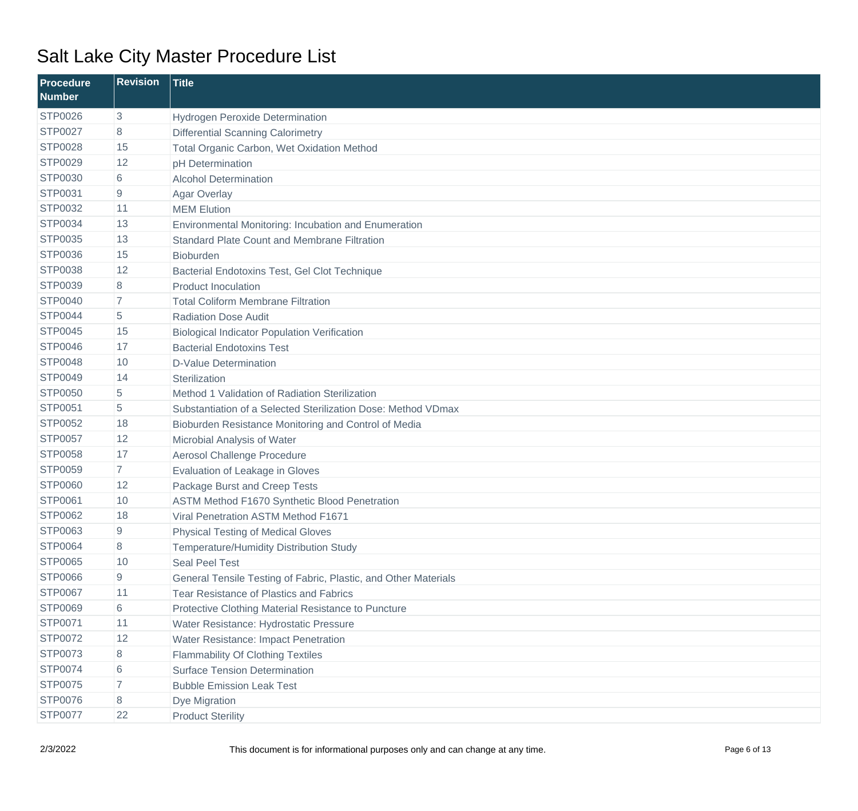| <b>Procedure</b><br><b>Number</b> | <b>Revision</b> | <b>Title</b>                                                    |
|-----------------------------------|-----------------|-----------------------------------------------------------------|
| <b>STP0026</b>                    | 3               | Hydrogen Peroxide Determination                                 |
| <b>STP0027</b>                    | 8               | <b>Differential Scanning Calorimetry</b>                        |
| <b>STP0028</b>                    | 15              | Total Organic Carbon, Wet Oxidation Method                      |
| <b>STP0029</b>                    | 12              | pH Determination                                                |
| <b>STP0030</b>                    | 6               | <b>Alcohol Determination</b>                                    |
| STP0031                           | 9               | Agar Overlay                                                    |
| <b>STP0032</b>                    | 11              | <b>MEM Elution</b>                                              |
| <b>STP0034</b>                    | 13              | Environmental Monitoring: Incubation and Enumeration            |
| <b>STP0035</b>                    | 13              | <b>Standard Plate Count and Membrane Filtration</b>             |
| <b>STP0036</b>                    | 15              | <b>Bioburden</b>                                                |
| <b>STP0038</b>                    | 12              | Bacterial Endotoxins Test, Gel Clot Technique                   |
| <b>STP0039</b>                    | 8               | <b>Product Inoculation</b>                                      |
| <b>STP0040</b>                    | $\overline{7}$  | <b>Total Coliform Membrane Filtration</b>                       |
| <b>STP0044</b>                    | 5               | <b>Radiation Dose Audit</b>                                     |
| <b>STP0045</b>                    | 15              | <b>Biological Indicator Population Verification</b>             |
| <b>STP0046</b>                    | 17              | <b>Bacterial Endotoxins Test</b>                                |
| <b>STP0048</b>                    | 10              | <b>D-Value Determination</b>                                    |
| <b>STP0049</b>                    | 14              | Sterilization                                                   |
| <b>STP0050</b>                    | 5               | Method 1 Validation of Radiation Sterilization                  |
| <b>STP0051</b>                    | 5               | Substantiation of a Selected Sterilization Dose: Method VDmax   |
| <b>STP0052</b>                    | 18              | Bioburden Resistance Monitoring and Control of Media            |
| <b>STP0057</b>                    | 12              | Microbial Analysis of Water                                     |
| <b>STP0058</b>                    | 17              | Aerosol Challenge Procedure                                     |
| <b>STP0059</b>                    | $\overline{7}$  | Evaluation of Leakage in Gloves                                 |
| <b>STP0060</b>                    | 12              | Package Burst and Creep Tests                                   |
| <b>STP0061</b>                    | 10              | ASTM Method F1670 Synthetic Blood Penetration                   |
| <b>STP0062</b>                    | 18              | Viral Penetration ASTM Method F1671                             |
| <b>STP0063</b>                    | 9               | <b>Physical Testing of Medical Gloves</b>                       |
| <b>STP0064</b>                    | 8               | Temperature/Humidity Distribution Study                         |
| <b>STP0065</b>                    | 10              | Seal Peel Test                                                  |
| <b>STP0066</b>                    | 9               | General Tensile Testing of Fabric, Plastic, and Other Materials |
| <b>STP0067</b>                    | 11              | Tear Resistance of Plastics and Fabrics                         |
| <b>STP0069</b>                    | 6               | Protective Clothing Material Resistance to Puncture             |
| STP0071                           | 11              | Water Resistance: Hydrostatic Pressure                          |
| <b>STP0072</b>                    | 12              | Water Resistance: Impact Penetration                            |
| STP0073                           | 8               | <b>Flammability Of Clothing Textiles</b>                        |
| <b>STP0074</b>                    | 6               | <b>Surface Tension Determination</b>                            |
| <b>STP0075</b>                    | 7.              | <b>Bubble Emission Leak Test</b>                                |
| <b>STP0076</b>                    | 8               | Dye Migration                                                   |
| STP0077                           | 22              | <b>Product Sterility</b>                                        |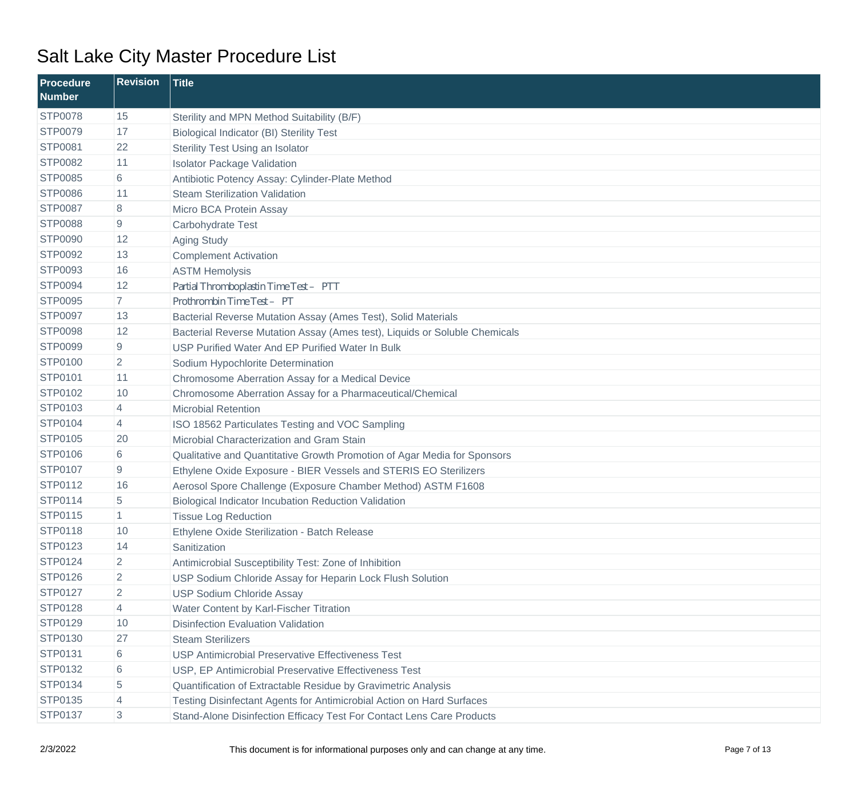| Procedure<br><b>Number</b> | <b>Revision</b> | <b>Title</b>                                                               |
|----------------------------|-----------------|----------------------------------------------------------------------------|
| <b>STP0078</b>             | 15              | Sterility and MPN Method Suitability (B/F)                                 |
| <b>STP0079</b>             | 17              | <b>Biological Indicator (BI) Sterility Test</b>                            |
| <b>STP0081</b>             | 22              | Sterility Test Using an Isolator                                           |
| <b>STP0082</b>             | 11              | <b>Isolator Package Validation</b>                                         |
| <b>STP0085</b>             | 6               | Antibiotic Potency Assay: Cylinder-Plate Method                            |
| <b>STP0086</b>             | 11              | <b>Steam Sterilization Validation</b>                                      |
| <b>STP0087</b>             | 8               | Micro BCA Protein Assay                                                    |
| <b>STP0088</b>             | 9               | Carbohydrate Test                                                          |
| <b>STP0090</b>             | 12              | <b>Aging Study</b>                                                         |
| <b>STP0092</b>             | 13              | <b>Complement Activation</b>                                               |
| <b>STP0093</b>             | 16              | <b>ASTM Hemolysis</b>                                                      |
| <b>STP0094</b>             | 12              | Partial Thromboplastin Time Test - PTT                                     |
| <b>STP0095</b>             | 7 <sup>1</sup>  | Prothrombin Time Test-PT                                                   |
| <b>STP0097</b>             | 13              | Bacterial Reverse Mutation Assay (Ames Test), Solid Materials              |
| <b>STP0098</b>             | 12              | Bacterial Reverse Mutation Assay (Ames test), Liquids or Soluble Chemicals |
| <b>STP0099</b>             | 9               | USP Purified Water And EP Purified Water In Bulk                           |
| <b>STP0100</b>             | $\overline{2}$  | Sodium Hypochlorite Determination                                          |
| STP0101                    | 11              | Chromosome Aberration Assay for a Medical Device                           |
| STP0102                    | 10              | Chromosome Aberration Assay for a Pharmaceutical/Chemical                  |
| STP0103                    | 4               | <b>Microbial Retention</b>                                                 |
| <b>STP0104</b>             | 4               | ISO 18562 Particulates Testing and VOC Sampling                            |
| <b>STP0105</b>             | 20              | Microbial Characterization and Gram Stain                                  |
| <b>STP0106</b>             | 6               | Qualitative and Quantitative Growth Promotion of Agar Media for Sponsors   |
| <b>STP0107</b>             | 9               | Ethylene Oxide Exposure - BIER Vessels and STERIS EO Sterilizers           |
| <b>STP0112</b>             | 16              | Aerosol Spore Challenge (Exposure Chamber Method) ASTM F1608               |
| <b>STP0114</b>             | 5               | Biological Indicator Incubation Reduction Validation                       |
| <b>STP0115</b>             | $\mathbf{1}$    | <b>Tissue Log Reduction</b>                                                |
| <b>STP0118</b>             | 10              | Ethylene Oxide Sterilization - Batch Release                               |
| STP0123                    | 14              | Sanitization                                                               |
| <b>STP0124</b>             | $\overline{2}$  | Antimicrobial Susceptibility Test: Zone of Inhibition                      |
| <b>STP0126</b>             | 2               | USP Sodium Chloride Assay for Heparin Lock Flush Solution                  |
| <b>STP0127</b>             | $\overline{2}$  | <b>USP Sodium Chloride Assay</b>                                           |
| <b>STP0128</b>             | 4               | Water Content by Karl-Fischer Titration                                    |
| STP0129                    | 10              | <b>Disinfection Evaluation Validation</b>                                  |
| STP0130                    | 27              | <b>Steam Sterilizers</b>                                                   |
| STP0131                    | 6               | <b>USP Antimicrobial Preservative Effectiveness Test</b>                   |
| STP0132                    | 6               | USP, EP Antimicrobial Preservative Effectiveness Test                      |
| STP0134                    | 5               | Quantification of Extractable Residue by Gravimetric Analysis              |
| STP0135                    | 4               | Testing Disinfectant Agents for Antimicrobial Action on Hard Surfaces      |
| <b>STP0137</b>             | 3               | Stand-Alone Disinfection Efficacy Test For Contact Lens Care Products      |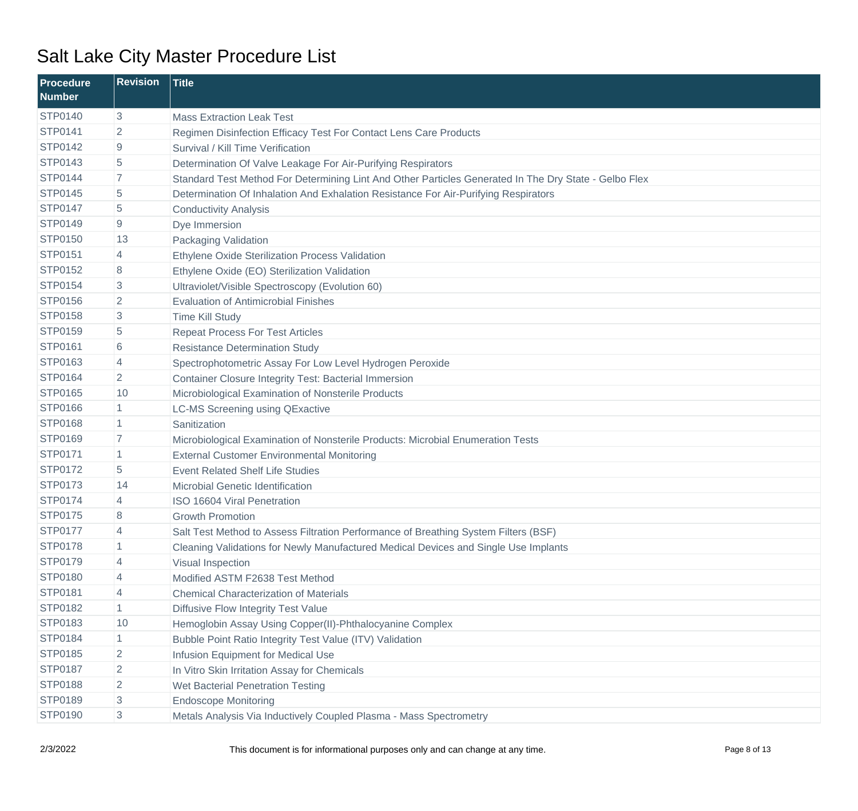| Procedure<br><b>Number</b> | <b>Revision</b> | <b>Title</b>                                                                                          |
|----------------------------|-----------------|-------------------------------------------------------------------------------------------------------|
| <b>STP0140</b>             | 3               | <b>Mass Extraction Leak Test</b>                                                                      |
| <b>STP0141</b>             | 2               | Regimen Disinfection Efficacy Test For Contact Lens Care Products                                     |
| <b>STP0142</b>             | 9               | Survival / Kill Time Verification                                                                     |
| <b>STP0143</b>             | 5               | Determination Of Valve Leakage For Air-Purifying Respirators                                          |
| <b>STP0144</b>             | $\overline{7}$  | Standard Test Method For Determining Lint And Other Particles Generated In The Dry State - Gelbo Flex |
| <b>STP0145</b>             | 5               | Determination Of Inhalation And Exhalation Resistance For Air-Purifying Respirators                   |
| <b>STP0147</b>             | 5               | <b>Conductivity Analysis</b>                                                                          |
| <b>STP0149</b>             | 9               | Dye Immersion                                                                                         |
| <b>STP0150</b>             | 13              | Packaging Validation                                                                                  |
| <b>STP0151</b>             | 4               | Ethylene Oxide Sterilization Process Validation                                                       |
| <b>STP0152</b>             | 8               | Ethylene Oxide (EO) Sterilization Validation                                                          |
| <b>STP0154</b>             | 3               | Ultraviolet/Visible Spectroscopy (Evolution 60)                                                       |
| <b>STP0156</b>             | $\overline{2}$  | <b>Evaluation of Antimicrobial Finishes</b>                                                           |
| <b>STP0158</b>             | 3               | <b>Time Kill Study</b>                                                                                |
| <b>STP0159</b>             | 5               | <b>Repeat Process For Test Articles</b>                                                               |
| <b>STP0161</b>             | 6               | <b>Resistance Determination Study</b>                                                                 |
| STP0163                    | 4               | Spectrophotometric Assay For Low Level Hydrogen Peroxide                                              |
| <b>STP0164</b>             | $\overline{2}$  | <b>Container Closure Integrity Test: Bacterial Immersion</b>                                          |
| <b>STP0165</b>             | 10              | Microbiological Examination of Nonsterile Products                                                    |
| <b>STP0166</b>             | $\mathbf{1}$    | <b>LC-MS Screening using QExactive</b>                                                                |
| <b>STP0168</b>             | $\mathbf{1}$    | Sanitization                                                                                          |
| <b>STP0169</b>             | $\overline{7}$  | Microbiological Examination of Nonsterile Products: Microbial Enumeration Tests                       |
| <b>STP0171</b>             | $\mathbf{1}$    | <b>External Customer Environmental Monitoring</b>                                                     |
| <b>STP0172</b>             | 5               | <b>Event Related Shelf Life Studies</b>                                                               |
| <b>STP0173</b>             | 14              | Microbial Genetic Identification                                                                      |
| <b>STP0174</b>             | 4               | ISO 16604 Viral Penetration                                                                           |
| <b>STP0175</b>             | 8               | <b>Growth Promotion</b>                                                                               |
| <b>STP0177</b>             | 4               | Salt Test Method to Assess Filtration Performance of Breathing System Filters (BSF)                   |
| <b>STP0178</b>             | 1               | Cleaning Validations for Newly Manufactured Medical Devices and Single Use Implants                   |
| STP0179                    | 4               | Visual Inspection                                                                                     |
| <b>STP0180</b>             | 4               | Modified ASTM F2638 Test Method                                                                       |
| STP0181                    | 4               | <b>Chemical Characterization of Materials</b>                                                         |
| <b>STP0182</b>             | $\mathbf{1}$    | <b>Diffusive Flow Integrity Test Value</b>                                                            |
| <b>STP0183</b>             | 10              | Hemoglobin Assay Using Copper(II)-Phthalocyanine Complex                                              |
| <b>STP0184</b>             | $\mathbf{1}$    | Bubble Point Ratio Integrity Test Value (ITV) Validation                                              |
| <b>STP0185</b>             | 2               | Infusion Equipment for Medical Use                                                                    |
| <b>STP0187</b>             | $\overline{2}$  | In Vitro Skin Irritation Assay for Chemicals                                                          |
| <b>STP0188</b>             | $\overline{2}$  | Wet Bacterial Penetration Testing                                                                     |
| STP0189                    | 3               | <b>Endoscope Monitoring</b>                                                                           |
| STP0190                    | 3               | Metals Analysis Via Inductively Coupled Plasma - Mass Spectrometry                                    |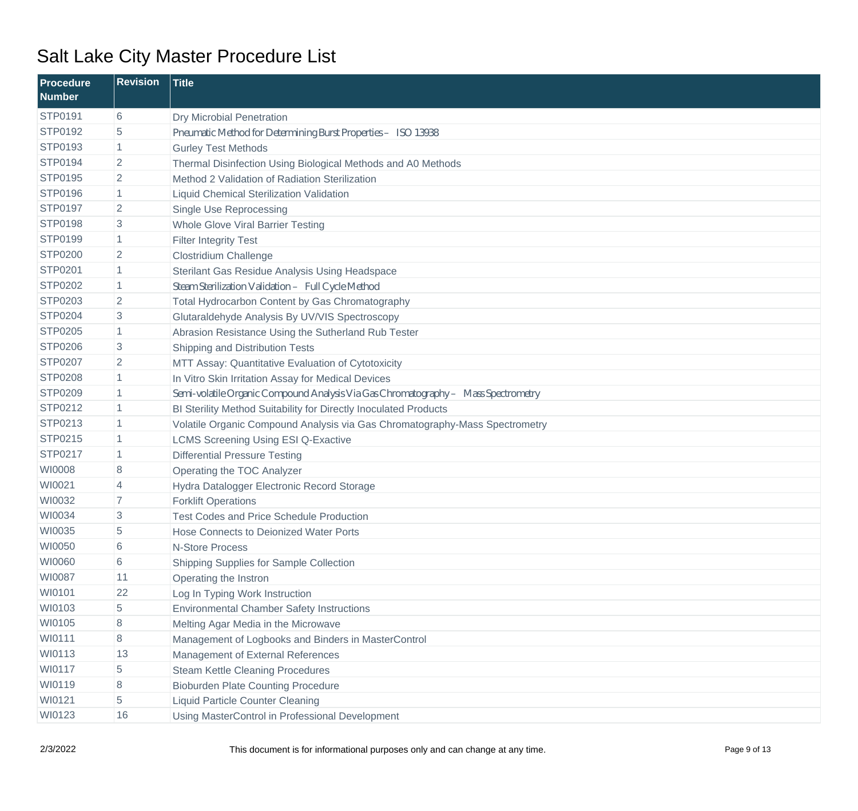| <b>Procedure</b><br><b>Number</b> | <b>Revision</b> | <b>Title</b>                                                                       |
|-----------------------------------|-----------------|------------------------------------------------------------------------------------|
| <b>STP0191</b>                    | 6               | <b>Dry Microbial Penetration</b>                                                   |
| STP0192                           | 5               | Pneumatic Method for Determining Burst Properties- ISO 13938                       |
| STP0193                           | 1               | <b>Gurley Test Methods</b>                                                         |
| <b>STP0194</b>                    | $\overline{2}$  | Thermal Disinfection Using Biological Methods and A0 Methods                       |
| <b>STP0195</b>                    | $\overline{2}$  | Method 2 Validation of Radiation Sterilization                                     |
| <b>STP0196</b>                    |                 | Liquid Chemical Sterilization Validation                                           |
| <b>STP0197</b>                    | $\overline{c}$  | Single Use Reprocessing                                                            |
| <b>STP0198</b>                    | 3               | <b>Whole Glove Viral Barrier Testing</b>                                           |
| <b>STP0199</b>                    | 1               | <b>Filter Integrity Test</b>                                                       |
| <b>STP0200</b>                    | 2               | <b>Clostridium Challenge</b>                                                       |
| <b>STP0201</b>                    | 1               | Sterilant Gas Residue Analysis Using Headspace                                     |
| <b>STP0202</b>                    | 1               | SteamSterilization Validation-Full CycleMethod                                     |
| STP0203                           | 2               | Total Hydrocarbon Content by Gas Chromatography                                    |
| <b>STP0204</b>                    | 3               | Glutaraldehyde Analysis By UV/VIS Spectroscopy                                     |
| <b>STP0205</b>                    | 1               | Abrasion Resistance Using the Sutherland Rub Tester                                |
| <b>STP0206</b>                    | 3               | Shipping and Distribution Tests                                                    |
| <b>STP0207</b>                    | $\overline{2}$  | MTT Assay: Quantitative Evaluation of Cytotoxicity                                 |
| <b>STP0208</b>                    |                 | In Vitro Skin Irritation Assay for Medical Devices                                 |
| <b>STP0209</b>                    | 1               | Seni-volatile Organic Compound Analysis Via Gas Chromatography - Mass Spectrometry |
| STP0212                           | 1               | BI Sterility Method Suitability for Directly Inoculated Products                   |
| STP0213                           | 1               | Volatile Organic Compound Analysis via Gas Chromatography-Mass Spectrometry        |
| STP0215                           | 1               | <b>LCMS Screening Using ESI Q-Exactive</b>                                         |
| <b>STP0217</b>                    | 1               | <b>Differential Pressure Testing</b>                                               |
| WI0008                            | 8               | Operating the TOC Analyzer                                                         |
| WI0021                            | 4               | Hydra Datalogger Electronic Record Storage                                         |
| WI0032                            | 7               | <b>Forklift Operations</b>                                                         |
| WI0034                            | 3               | <b>Test Codes and Price Schedule Production</b>                                    |
| WI0035                            | 5               | Hose Connects to Deionized Water Ports                                             |
| WI0050                            | 6               | <b>N-Store Process</b>                                                             |
| WI0060                            | 6               | Shipping Supplies for Sample Collection                                            |
| WI0087                            | 11              | Operating the Instron                                                              |
| WI0101                            | 22              | Log In Typing Work Instruction                                                     |
| WI0103                            | 5               | <b>Environmental Chamber Safety Instructions</b>                                   |
| WI0105                            | 8               | Melting Agar Media in the Microwave                                                |
| WI0111                            | 8               | Management of Logbooks and Binders in MasterControl                                |
| WI0113                            | 13              | Management of External References                                                  |
| WI0117                            | 5               | <b>Steam Kettle Cleaning Procedures</b>                                            |
| WI0119                            | 8               | <b>Bioburden Plate Counting Procedure</b>                                          |
| WI0121                            | 5               | <b>Liquid Particle Counter Cleaning</b>                                            |
| WI0123                            | 16              | Using MasterControl in Professional Development                                    |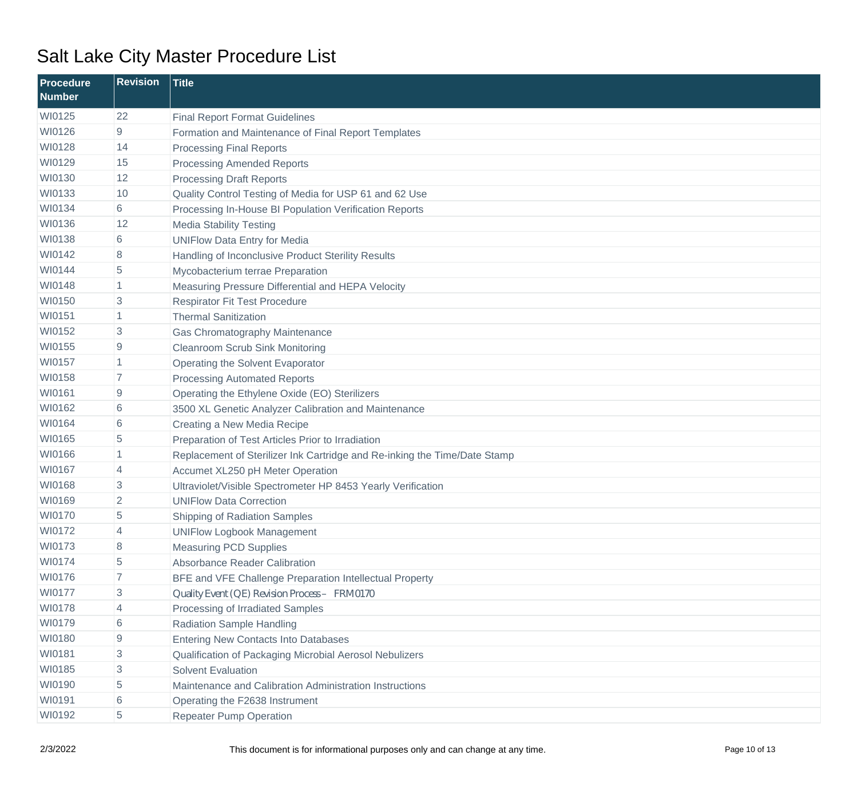| <b>Procedure</b><br><b>Number</b> | <b>Revision</b> | <b>Title</b>                                                              |
|-----------------------------------|-----------------|---------------------------------------------------------------------------|
| WI0125                            | 22              | <b>Final Report Format Guidelines</b>                                     |
| WI0126                            | 9               | Formation and Maintenance of Final Report Templates                       |
| WI0128                            | 14              | <b>Processing Final Reports</b>                                           |
| WI0129                            | 15              | <b>Processing Amended Reports</b>                                         |
| WI0130                            | 12              | <b>Processing Draft Reports</b>                                           |
| WI0133                            | 10              | Quality Control Testing of Media for USP 61 and 62 Use                    |
| WI0134                            | 6               | Processing In-House BI Population Verification Reports                    |
| WI0136                            | 12              | <b>Media Stability Testing</b>                                            |
| WI0138                            | 6               | <b>UNIFlow Data Entry for Media</b>                                       |
| WI0142                            | 8               | Handling of Inconclusive Product Sterility Results                        |
| WI0144                            | 5               | Mycobacterium terrae Preparation                                          |
| WI0148                            | 1               | Measuring Pressure Differential and HEPA Velocity                         |
| WI0150                            | 3               | <b>Respirator Fit Test Procedure</b>                                      |
| WI0151                            | 1               | <b>Thermal Sanitization</b>                                               |
| WI0152                            | 3               | Gas Chromatography Maintenance                                            |
| WI0155                            | 9               | <b>Cleanroom Scrub Sink Monitoring</b>                                    |
| WI0157                            | 1               | Operating the Solvent Evaporator                                          |
| WI0158                            | 7               | <b>Processing Automated Reports</b>                                       |
| WI0161                            | 9               | Operating the Ethylene Oxide (EO) Sterilizers                             |
| WI0162                            | 6               | 3500 XL Genetic Analyzer Calibration and Maintenance                      |
| WI0164                            | 6               | Creating a New Media Recipe                                               |
| WI0165                            | 5               | Preparation of Test Articles Prior to Irradiation                         |
| WI0166                            | $\mathbf{1}$    | Replacement of Sterilizer Ink Cartridge and Re-inking the Time/Date Stamp |
| WI0167                            | 4               | Accumet XL250 pH Meter Operation                                          |
| WI0168                            | 3               | Ultraviolet/Visible Spectrometer HP 8453 Yearly Verification              |
| WI0169                            | 2               | <b>UNIFlow Data Correction</b>                                            |
| WI0170                            | 5               | <b>Shipping of Radiation Samples</b>                                      |
| WI0172                            | 4               | <b>UNIFlow Logbook Management</b>                                         |
| WI0173                            | 8               | <b>Measuring PCD Supplies</b>                                             |
| WI0174                            | 5               | Absorbance Reader Calibration                                             |
| WI0176                            | 7               | BFE and VFE Challenge Preparation Intellectual Property                   |
| WI0177                            | 3               | Quality Event (QE) Revision Process- FRM0170                              |
| WI0178                            | 4               | Processing of Irradiated Samples                                          |
| WI0179                            | 6               | <b>Radiation Sample Handling</b>                                          |
| WI0180                            | 9               | <b>Entering New Contacts Into Databases</b>                               |
| WI0181                            | 3               | Qualification of Packaging Microbial Aerosol Nebulizers                   |
| WI0185                            | 3               | <b>Solvent Evaluation</b>                                                 |
| WI0190                            | 5               | Maintenance and Calibration Administration Instructions                   |
| WI0191                            | 6               | Operating the F2638 Instrument                                            |
| WI0192                            | 5               | <b>Repeater Pump Operation</b>                                            |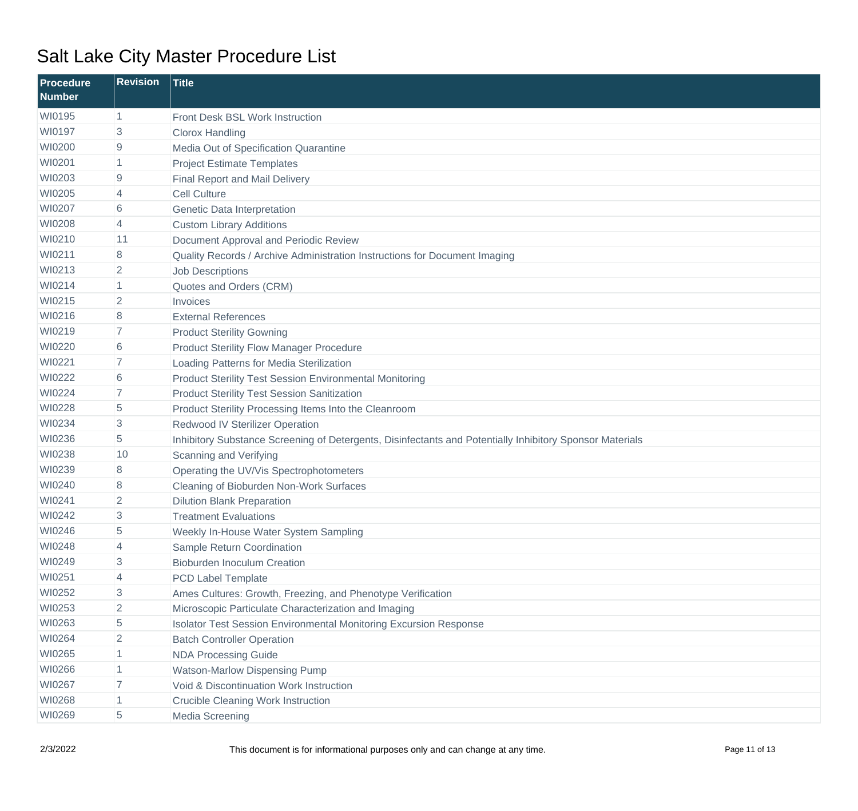| <b>Procedure</b><br><b>Number</b> | <b>Revision</b> | <b>Title</b>                                                                                             |
|-----------------------------------|-----------------|----------------------------------------------------------------------------------------------------------|
| WI0195                            | $\vert$ 1       | Front Desk BSL Work Instruction                                                                          |
| WI0197                            | 3               | <b>Clorox Handling</b>                                                                                   |
| WI0200                            | 9               | Media Out of Specification Quarantine                                                                    |
| WI0201                            |                 | <b>Project Estimate Templates</b>                                                                        |
| WI0203                            | 9               | <b>Final Report and Mail Delivery</b>                                                                    |
| WI0205                            | 4               | <b>Cell Culture</b>                                                                                      |
| WI0207                            | 6               | Genetic Data Interpretation                                                                              |
| WI0208                            | 4               | <b>Custom Library Additions</b>                                                                          |
| WI0210                            | 11              | Document Approval and Periodic Review                                                                    |
| WI0211                            | 8               | Quality Records / Archive Administration Instructions for Document Imaging                               |
| WI0213                            | $\overline{2}$  | <b>Job Descriptions</b>                                                                                  |
| WI0214                            | 1               | Quotes and Orders (CRM)                                                                                  |
| WI0215                            | $\overline{2}$  | Invoices                                                                                                 |
| WI0216                            | 8               | <b>External References</b>                                                                               |
| WI0219                            | $\overline{7}$  | <b>Product Sterility Gowning</b>                                                                         |
| WI0220                            | 6               | <b>Product Sterility Flow Manager Procedure</b>                                                          |
| WI0221                            | $\overline{7}$  | Loading Patterns for Media Sterilization                                                                 |
| WI0222                            | 6               | <b>Product Sterility Test Session Environmental Monitoring</b>                                           |
| WI0224                            | $\overline{7}$  | <b>Product Sterility Test Session Sanitization</b>                                                       |
| WI0228                            | 5               | Product Sterility Processing Items Into the Cleanroom                                                    |
| WI0234                            | 3               | <b>Redwood IV Sterilizer Operation</b>                                                                   |
| WI0236                            | 5               | Inhibitory Substance Screening of Detergents, Disinfectants and Potentially Inhibitory Sponsor Materials |
| WI0238                            | 10              | Scanning and Verifying                                                                                   |
| WI0239                            | 8               | Operating the UV/Vis Spectrophotometers                                                                  |
| WI0240                            | 8               | Cleaning of Bioburden Non-Work Surfaces                                                                  |
| WI0241                            | $\overline{2}$  | <b>Dilution Blank Preparation</b>                                                                        |
| WI0242                            | 3               | <b>Treatment Evaluations</b>                                                                             |
| WI0246                            | 5               | Weekly In-House Water System Sampling                                                                    |
| WI0248                            | 4               | Sample Return Coordination                                                                               |
| WI0249                            | 3               | <b>Bioburden Inoculum Creation</b>                                                                       |
| WI0251                            | 4               | PCD Label Template                                                                                       |
| WI0252                            | 3               | Ames Cultures: Growth, Freezing, and Phenotype Verification                                              |
| WI0253                            | $\overline{2}$  | Microscopic Particulate Characterization and Imaging                                                     |
| WI0263                            | 5               | Isolator Test Session Environmental Monitoring Excursion Response                                        |
| WI0264                            | $\overline{2}$  | <b>Batch Controller Operation</b>                                                                        |
| WI0265                            |                 | <b>NDA Processing Guide</b>                                                                              |
| WI0266                            | 1               | <b>Watson-Marlow Dispensing Pump</b>                                                                     |
| WI0267                            | 7               | Void & Discontinuation Work Instruction                                                                  |
| WI0268                            | 1               | <b>Crucible Cleaning Work Instruction</b>                                                                |
| WI0269                            | 5               | Media Screening                                                                                          |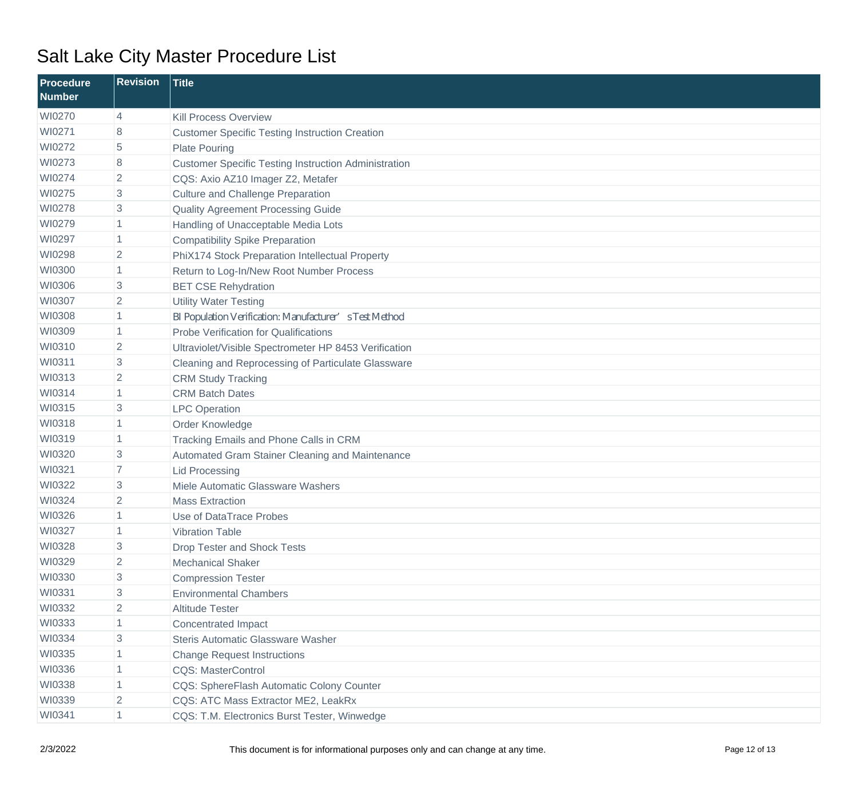| <b>Procedure</b><br><b>Number</b> | <b>Revision</b> | <b>Title</b>                                                |
|-----------------------------------|-----------------|-------------------------------------------------------------|
| WI0270                            | 4               | <b>Kill Process Overview</b>                                |
| WI0271                            | 8               | <b>Customer Specific Testing Instruction Creation</b>       |
| WI0272                            | 5               | <b>Plate Pouring</b>                                        |
| WI0273                            | 8               | <b>Customer Specific Testing Instruction Administration</b> |
| WI0274                            | 2               | CQS: Axio AZ10 Imager Z2, Metafer                           |
| WI0275                            | 3               | <b>Culture and Challenge Preparation</b>                    |
| WI0278                            | 3               | Quality Agreement Processing Guide                          |
| WI0279                            | $\mathbf 1$     | Handling of Unacceptable Media Lots                         |
| WI0297                            | 1               | <b>Compatibility Spike Preparation</b>                      |
| WI0298                            | $\overline{2}$  | PhiX174 Stock Preparation Intellectual Property             |
| WI0300                            | $\mathbf 1$     | Return to Log-In/New Root Number Process                    |
| WI0306                            | 3               | <b>BET CSE Rehydration</b>                                  |
| WI0307                            | 2               | <b>Utility Water Testing</b>                                |
| WI0308                            | 1               | BI Population Verification: Manufacturer' sTest Method      |
| WI0309                            | 1               | <b>Probe Verification for Qualifications</b>                |
| WI0310                            | $\overline{2}$  | Ultraviolet/Visible Spectrometer HP 8453 Verification       |
| WI0311                            | 3               | Cleaning and Reprocessing of Particulate Glassware          |
| WI0313                            | 2               | <b>CRM Study Tracking</b>                                   |
| WI0314                            | 1               | <b>CRM Batch Dates</b>                                      |
| WI0315                            | 3               | <b>LPC</b> Operation                                        |
| WI0318                            | 1               | Order Knowledge                                             |
| WI0319                            | 1               | Tracking Emails and Phone Calls in CRM                      |
| WI0320                            | 3               | Automated Gram Stainer Cleaning and Maintenance             |
| WI0321                            | $\overline{7}$  | <b>Lid Processing</b>                                       |
| WI0322                            | 3               | Miele Automatic Glassware Washers                           |
| WI0324                            | $\overline{2}$  | <b>Mass Extraction</b>                                      |
| WI0326                            |                 | Use of DataTrace Probes                                     |
| WI0327                            | $\overline{1}$  | Vibration Table                                             |
| WI0328                            | 3               | Drop Tester and Shock Tests                                 |
| WI0329                            | $\overline{2}$  | <b>Mechanical Shaker</b>                                    |
| WI0330                            | 3               | <b>Compression Tester</b>                                   |
| WI0331                            | 3               | <b>Environmental Chambers</b>                               |
| WI0332                            | $\overline{2}$  | <b>Altitude Tester</b>                                      |
| WI0333                            | 1               | <b>Concentrated Impact</b>                                  |
| WI0334                            | 3               | Steris Automatic Glassware Washer                           |
| WI0335                            | 1               | <b>Change Request Instructions</b>                          |
| WI0336                            | $\mathbf{1}$    | <b>CQS: MasterControl</b>                                   |
| WI0338                            | 1               | CQS: SphereFlash Automatic Colony Counter                   |
| WI0339                            | $\overline{2}$  | CQS: ATC Mass Extractor ME2, LeakRx                         |
| WI0341                            | 1               | CQS: T.M. Electronics Burst Tester, Winwedge                |